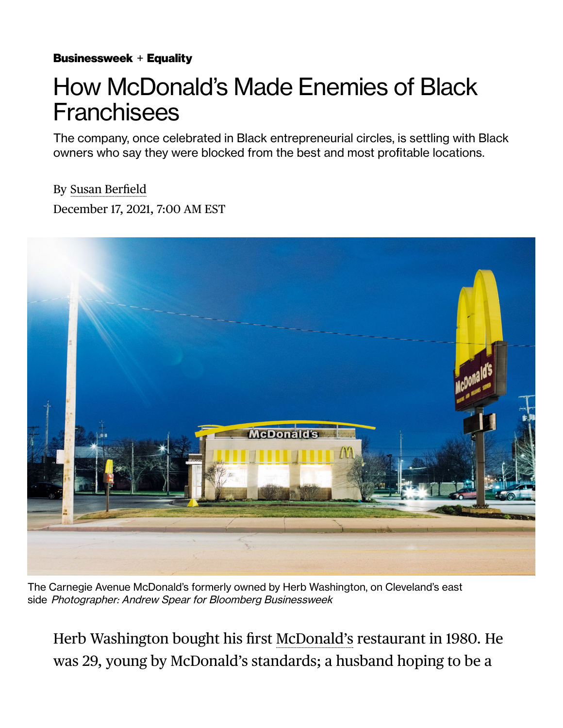[Businessweek](https://www.bloomberg.com/businessweek?source=eyebrow) + [Equality](https://www.bloomberg.com/equality?source=eyebrow)

## How McDonald's Made Enemies of Black **Franchisees**

The company, once celebrated in Black entrepreneurial circles, is settling with Black owners who say they were blocked from the best and most profitable locations.

By [Susan Ber](https://www.bloomberg.com/authors/APy9gQFD6bE/susan-berfield)field December 17, 2021, 7:00 AM EST

MeDonald

The Carnegie Avenue McDonald's formerly owned by Herb Washington, on Cleveland's east side Photographer: Andrew Spear for Bloomberg Businessweek

Herb Washington bought his first [McDonald's](https://www.bloomberg.com/quote/MCD:US) restaurant in 1980. He was 29, young by McDonald's standards; a husband hoping to be a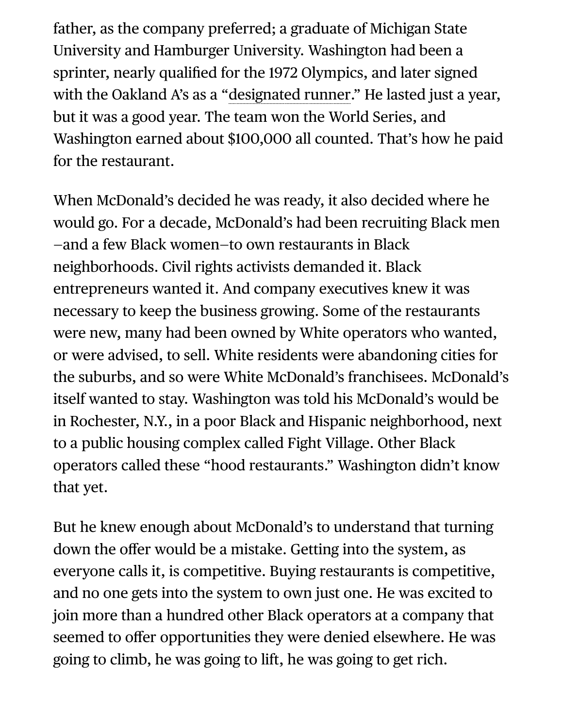father, as the company preferred; a graduate of Michigan State University and Hamburger University. Washington had been a sprinter, nearly qualified for the 1972 Olympics, and later signed with the Oakland A's as a "[designated runner.](https://www.mlb.com/cut4/a-retrospective-on-designated-runner-herb-washington-c239097862)" He lasted just a year, but it was a good year. The team won the World Series, and Washington earned about \$100,000 all counted. That's how he paid for the restaurant.

When McDonald's decided he was ready, it also decided where he would go. For a decade, McDonald's had been recruiting Black men —and a few Black women—to own restaurants in Black neighborhoods. Civil rights activists demanded it. Black entrepreneurs wanted it. And company executives knew it was necessary to keep the business growing. Some of the restaurants were new, many had been owned by White operators who wanted, or were advised, to sell. White residents were abandoning cities for the suburbs, and so were White McDonald's franchisees. McDonald's itself wanted to stay. Washington was told his McDonald's would be in Rochester, N.Y., in a poor Black and Hispanic neighborhood, next to a public housing complex called Fight Village. Other Black operators called these "hood restaurants." Washington didn't know that yet.

But he knew enough about McDonald's to understand that turning down the offer would be a mistake. Getting into the system, as everyone calls it, is competitive. Buying restaurants is competitive, and no one gets into the system to own just one. He was excited to join more than a hundred other Black operators at a company that seemed to offer opportunities they were denied elsewhere. He was going to climb, he was going to lift, he was going to get rich.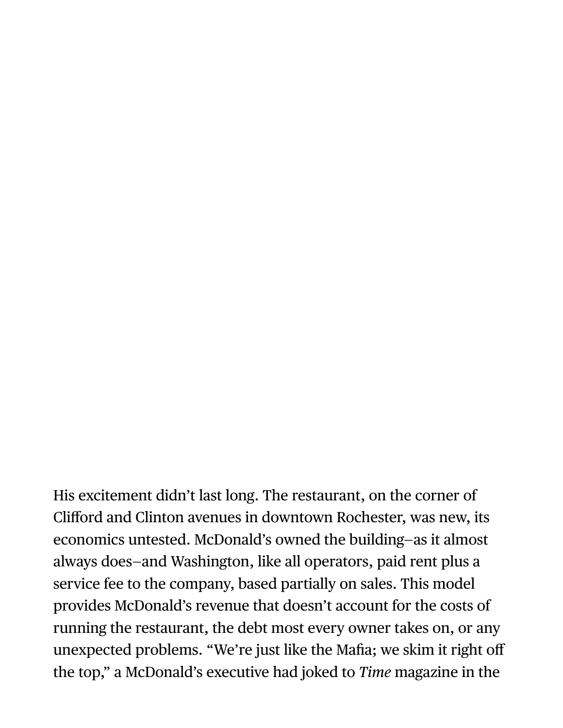His excitement didn't last long. The restaurant, on the corner of Clifford and Clinton avenues in downtown Rochester, was new, its economics untested. McDonald's owned the building—as it almost always does—and Washington, like all operators, paid rent plus a service fee to the company, based partially on sales. This model provides McDonald's revenue that doesn't account for the costs of running the restaurant, the debt most every owner takes on, or any unexpected problems. "We're just like the Mafia; we skim it right off the top," a McDonald's executive had joked to *Time* magazine in the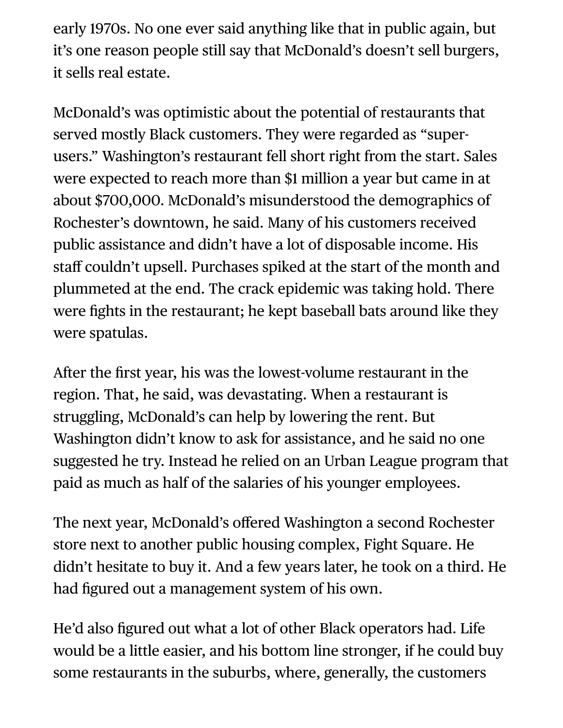early 1970s. No one ever said anything like that in public again, but it's one reason people still say that McDonald's doesn't sell burgers, it sells real estate.

McDonald's was optimistic about the potential of restaurants that served mostly Black customers. They were regarded as "superusers." Washington's restaurant fell short right from the start. Sales were expected to reach more than \$1 million a year but came in at about \$700,000. McDonald's misunderstood the demographics of Rochester's downtown, he said. Many of his customers received public assistance and didn't have a lot of disposable income. His staff couldn't upsell. Purchases spiked at the start of the month and plummeted at the end. The crack epidemic was taking hold. There were fights in the restaurant; he kept baseball bats around like they were spatulas.

After the first year, his was the lowest-volume restaurant in the region. That, he said, was devastating. When a restaurant is struggling, McDonald's can help by lowering the rent. But Washington didn't know to ask for assistance, and he said no one suggested he try. Instead he relied on an Urban League program that paid as much as half of the salaries of his younger employees.

The next year, McDonald's offered Washington a second Rochester store next to another public housing complex, Fight Square. He didn't hesitate to buy it. And a few years later, he took on a third. He had figured out a management system of his own.

He'd also figured out what a lot of other Black operators had. Life would be a little easier, and his bottom line stronger, if he could buy some restaurants in the suburbs, where, generally, the customers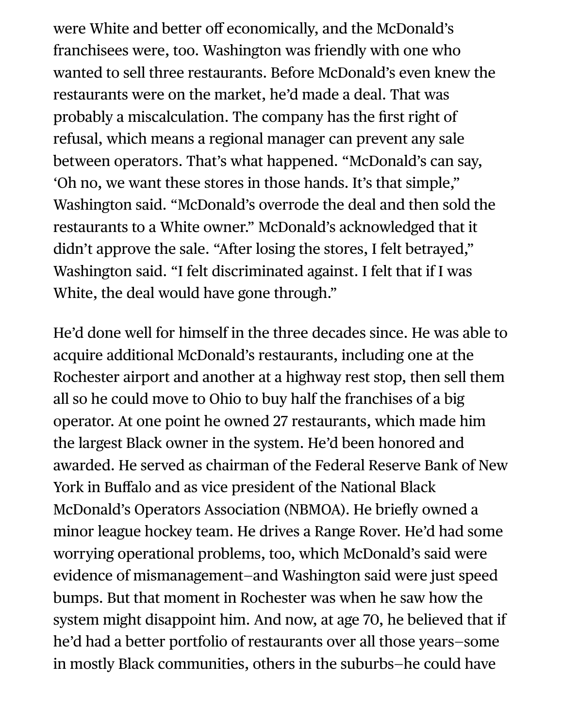were White and better off economically, and the McDonald's franchisees were, too. Washington was friendly with one who wanted to sell three restaurants. Before McDonald's even knew the restaurants were on the market, he'd made a deal. That was probably a miscalculation. The company has the first right of refusal, which means a regional manager can prevent any sale between operators. That's what happened. "McDonald's can say, 'Oh no, we want these stores in those hands. It's that simple," Washington said. "McDonald's overrode the deal and then sold the restaurants to a White owner." McDonald's acknowledged that it didn't approve the sale. "After losing the stores, I felt betrayed," Washington said. "I felt discriminated against. I felt that if I was White, the deal would have gone through."

He'd done well for himself in the three decades since. He was able to acquire additional McDonald's restaurants, including one at the Rochester airport and another at a highway rest stop, then sell them all so he could move to Ohio to buy half the franchises of a big operator. At one point he owned 27 restaurants, which made him the largest Black owner in the system. He'd been honored and awarded. He served as chairman of the Federal Reserve Bank of New York in Buffalo and as vice president of the National Black McDonald's Operators Association (NBMOA). He briefly owned a minor league hockey team. He drives a Range Rover. He'd had some worrying operational problems, too, which McDonald's said were evidence of mismanagement—and Washington said were just speed bumps. But that moment in Rochester was when he saw how the system might disappoint him. And now, at age 70, he believed that if he'd had a better portfolio of restaurants over all those years—some in mostly Black communities, others in the suburbs—he could have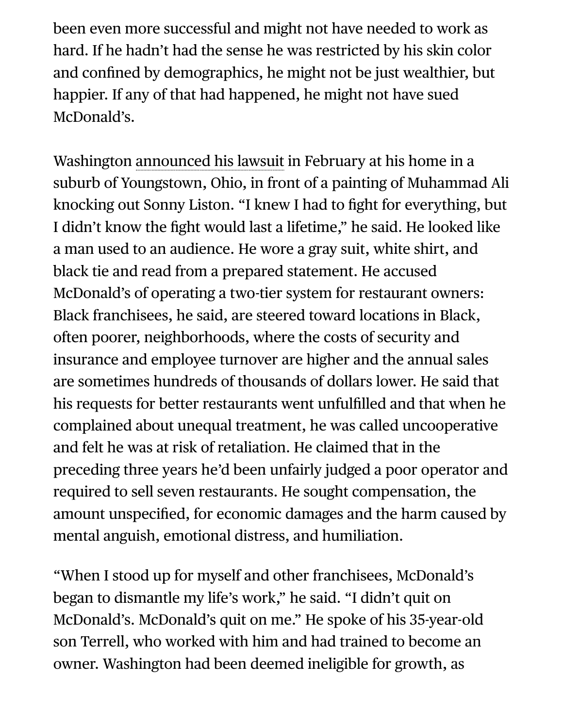been even more successful and might not have needed to work as hard. If he hadn't had the sense he was restricted by his skin color and confined by demographics, he might not be just wealthier, but happier. If any of that had happened, he might not have sued McDonald's.

Washington [announced his lawsuit](https://www.youtube.com/watch?v=8zZo-QNyZLk&t=545s) in February at his home in a suburb of Youngstown, Ohio, in front of a painting of Muhammad Ali knocking out Sonny Liston. "I knew I had to fight for everything, but I didn't know the fight would last a lifetime," he said. He looked like a man used to an audience. He wore a gray suit, white shirt, and black tie and read from a prepared statement. He accused McDonald's of operating a two-tier system for restaurant owners: Black franchisees, he said, are steered toward locations in Black, often poorer, neighborhoods, where the costs of security and insurance and employee turnover are higher and the annual sales are sometimes hundreds of thousands of dollars lower. He said that his requests for better restaurants went unfulfilled and that when he complained about unequal treatment, he was called uncooperative and felt he was at risk of retaliation. He claimed that in the preceding three years he'd been unfairly judged a poor operator and required to sell seven restaurants. He sought compensation, the amount unspecified, for economic damages and the harm caused by mental anguish, emotional distress, and humiliation.

"When I stood up for myself and other franchisees, McDonald's began to dismantle my life's work," he said. "I didn't quit on McDonald's. McDonald's quit on me." He spoke of his 35-year-old son Terrell, who worked with him and had trained to become an owner. Washington had been deemed ineligible for growth, as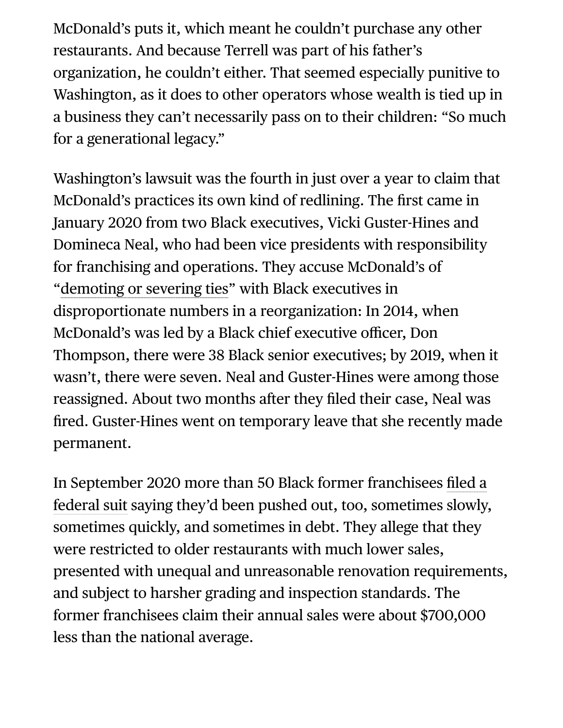McDonald's puts it, which meant he couldn't purchase any other restaurants. And because Terrell was part of his father's organization, he couldn't either. That seemed especially punitive to Washington, as it does to other operators whose wealth is tied up in a business they can't necessarily pass on to their children: "So much for a generational legacy."

Washington's lawsuit was the fourth in just over a year to claim that McDonald's practices its own kind of redlining. The first came in January 2020 from two Black executives, Vicki Guster-Hines and Domineca Neal, who had been vice presidents with responsibility for franchising and operations. They accuse McDonald's of "[demoting or severing ties"](https://abcnews.go.com/US/african-american-executives-file-lawsuit-alleging-racial-discrimination/story?id=68143734) with Black executives in disproportionate numbers in a reorganization: In 2014, when McDonald's was led by a Black chief executive officer, Don Thompson, there were 38 Black senior executives; by 2019, when it wasn't, there were seven. Neal and Guster-Hines were among those reassigned. About two months after they filed their case, Neal was fired. Guster-Hines went on temporary leave that she recently made permanent.

In September 2020 more than 50 Black former franchisees filed a [federal suit saying they'd been pushed out, too, sometimes slowly](https://www.bloomberg.com/news/articles/2020-09-01/mcdonald-s-faces-racial-discrimination-suit-by-black-franchisees), sometimes quickly, and sometimes in debt. They allege that they were restricted to older restaurants with much lower sales, presented with unequal and unreasonable renovation requirements, and subject to harsher grading and inspection standards. The former franchisees claim their annual sales were about \$700,000 less than the national average.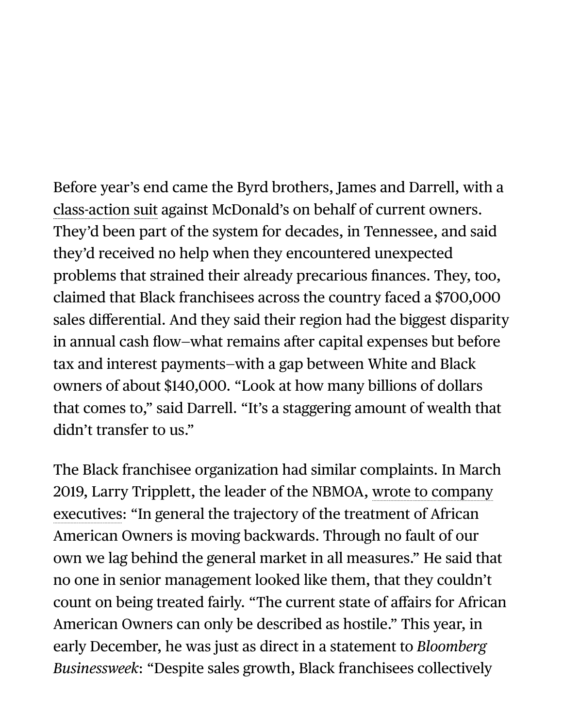Before year's end came the Byrd brothers, James and Darrell, with a [class-action suit](https://www.bloomberg.com/news/articles/2020-10-29/mcdonald-s-sued-by-black-current-franchisees-over-alleged-bias) against McDonald's on behalf of current owners. They'd been part of the system for decades, in Tennessee, and said they'd received no help when they encountered unexpected problems that strained their already precarious finances. They, too, claimed that Black franchisees across the country faced a \$700,000 sales differential. And they said their region had the biggest disparity in annual cash flow—what remains after capital expenses but before tax and interest payments—with a gap between White and Black owners of about \$140,000. "Look at how many billions of dollars that comes to," said Darrell. "It's a staggering amount of wealth that didn't transfer to us."

The Black franchisee organization had similar complaints. In March [2019, Larry Tripplett, the leader of the NBMOA, wrote to company](https://assets.bwbx.io/documents/users/iqjWHBFdfxIU/rJ4f6oiQYnGA/v0) executives: "In general the trajectory of the treatment of African American Owners is moving backwards. Through no fault of our own we lag behind the general market in all measures." He said that no one in senior management looked like them, that they couldn't count on being treated fairly. "The current state of affairs for African American Owners can only be described as hostile." This year, in early December, he was just as direct in a statement to *Bloomberg Businessweek*: "Despite sales growth, Black franchisees collectively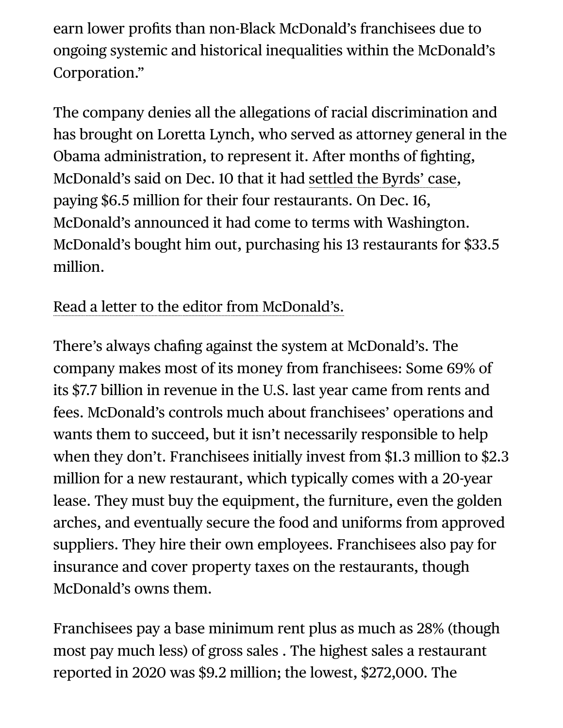earn lower profits than non-Black McDonald's franchisees due to ongoing systemic and historical inequalities within the McDonald's Corporation."

The company denies all the allegations of racial discrimination and has brought on Loretta Lynch, who served as attorney general in the Obama administration, to represent it. After months of fighting, McDonald's said on Dec. 10 that it had [settled the Byrds' case,](https://www.bloomberg.com/news/articles/2021-12-11/mcdonald-s-settles-lawsuit-filed-by-black-franchise-operators) paying \$6.5 million for their four restaurants. On Dec. 16, McDonald's announced it had come to terms with Washington. McDonald's bought him out, purchasing his 13 restaurants for \$33.5 million.

[Read a letter to the editor from McDonald's.](https://www.bloomberg.com/letters/2022-02-10/mcdonald-s-responds-to-recent-businessweek-story-michael-gonda)

There's always chafing against the system at McDonald's. The company makes most of its money from franchisees: Some 69% of its \$7.7 billion in revenue in the U.S. last year came from rents and fees. McDonald's controls much about franchisees' operations and wants them to succeed, but it isn't necessarily responsible to help when they don't. Franchisees initially invest from \$1.3 million to \$2.3 million for a new restaurant, which typically comes with a 20-year lease. They must buy the equipment, the furniture, even the golden arches, and eventually secure the food and uniforms from approved suppliers. They hire their own employees. Franchisees also pay for insurance and cover property taxes on the restaurants, though McDonald's owns them.

Franchisees pay a base minimum rent plus as much as 28% (though most pay much less) of gross sales . The highest sales a restaurant reported in 2020 was \$9.2 million; the lowest, \$272,000. The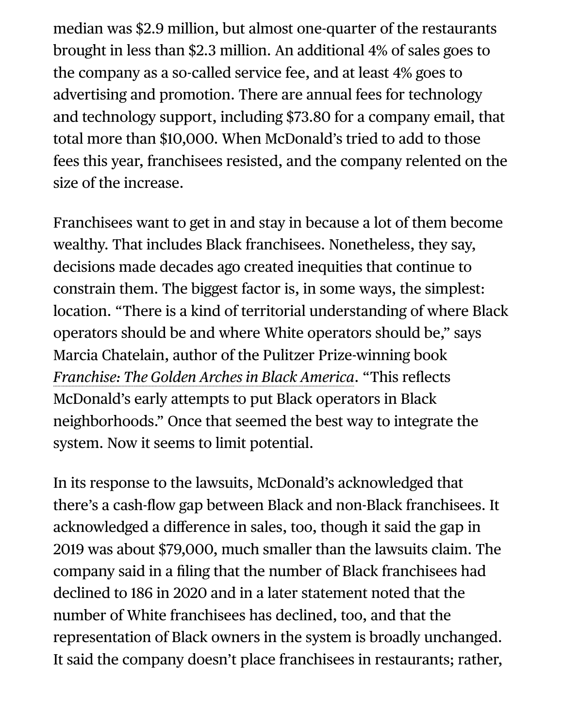median was \$2.9 million, but almost one-quarter of the restaurants brought in less than \$2.3 million. An additional 4% of sales goes to the company as a so-called service fee, and at least 4% goes to advertising and promotion. There are annual fees for technology and technology support, including \$73.80 for a company email, that total more than \$10,000. When McDonald's tried to add to those fees this year, franchisees resisted, and the company relented on the size of the increase.

Franchisees want to get in and stay in because a lot of them become wealthy. That includes Black franchisees. Nonetheless, they say, decisions made decades ago created inequities that continue to constrain them. The biggest factor is, in some ways, the simplest: location. "There is a kind of territorial understanding of where Black operators should be and where White operators should be," says Marcia Chatelain, author of the Pulitzer Prize-winning book *[Franchise: The Golden Arches in Black America](https://www.pulitzer.org/winners/marcia-chatelain)*. "This reflects McDonald's early attempts to put Black operators in Black neighborhoods." Once that seemed the best way to integrate the system. Now it seems to limit potential.

In its response to the lawsuits, McDonald's acknowledged that there's a cash-flow gap between Black and non-Black franchisees. It acknowledged a difference in sales, too, though it said the gap in 2019 was about \$79,000, much smaller than the lawsuits claim. The company said in a filing that the number of Black franchisees had declined to 186 in 2020 and in a later statement noted that the number of White franchisees has declined, too, and that the representation of Black owners in the system is broadly unchanged. It said the company doesn't place franchisees in restaurants; rather,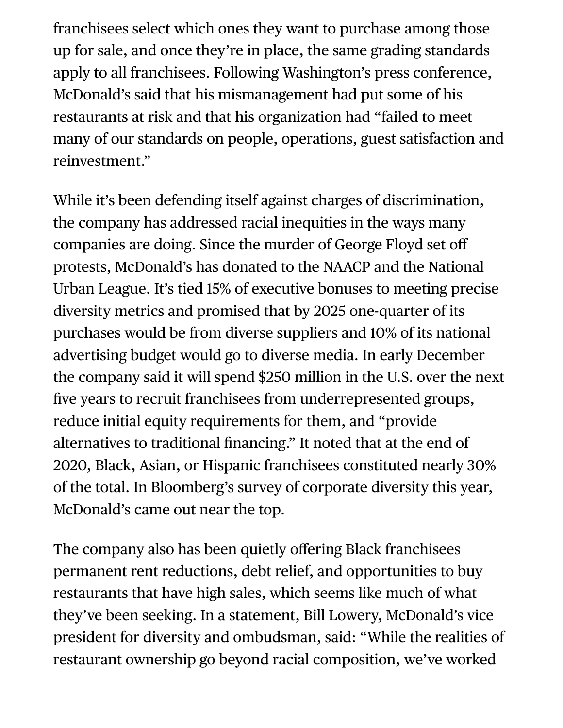franchisees select which ones they want to purchase among those up for sale, and once they're in place, the same grading standards apply to all franchisees. Following Washington's press conference, McDonald's said that his mismanagement had put some of his restaurants at risk and that his organization had "failed to meet many of our standards on people, operations, guest satisfaction and reinvestment."

While it's been defending itself against charges of discrimination, the company has addressed racial inequities in the ways many companies are doing. Since the murder of George Floyd set off protests, McDonald's has donated to the NAACP and the National Urban League. It's tied 15% of executive bonuses to meeting precise diversity metrics and promised that by 2025 one-quarter of its purchases would be from diverse suppliers and 10% of its national advertising budget would go to diverse media. In early December the company said it will spend \$250 million in the U.S. over the next five years to recruit franchisees from underrepresented groups, reduce initial equity requirements for them, and "provide alternatives to traditional financing." It noted that at the end of 2020, Black, Asian, or Hispanic franchisees constituted nearly 30% of the total. In Bloomberg's survey of corporate diversity this year, McDonald's came out near the top.

The company also has been quietly offering Black franchisees permanent rent reductions, debt relief, and opportunities to buy restaurants that have high sales, which seems like much of what they've been seeking. In a statement, Bill Lowery, McDonald's vice president for diversity and ombudsman, said: "While the realities of restaurant ownership go beyond racial composition, we've worked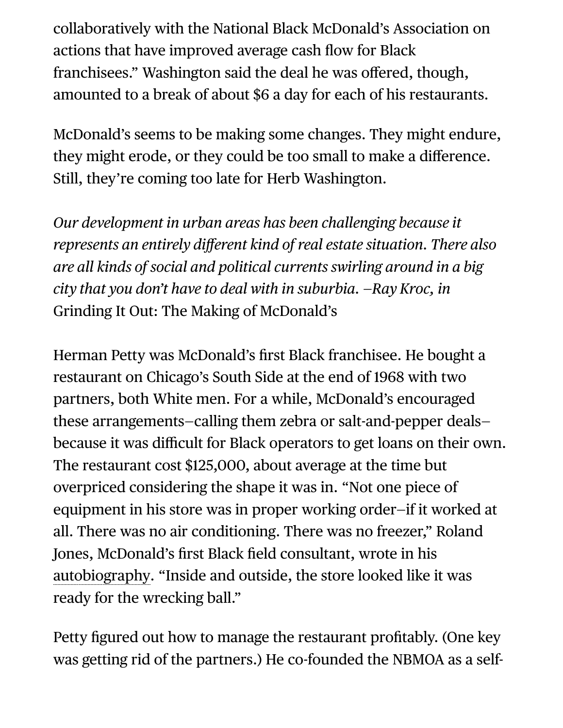collaboratively with the National Black McDonald's Association on actions that have improved average cash flow for Black franchisees." Washington said the deal he was offered, though, amounted to a break of about \$6 a day for each of his restaurants.

McDonald's seems to be making some changes. They might endure, they might erode, or they could be too small to make a difference. Still, they're coming too late for Herb Washington.

*Our development in urban areas has been challenging because it represents an entirely different kind of real estate situation. There also are all kinds of social and political currents swirling around in a big city that you don't have to deal with in suburbia. —Ray Kroc, in* Grinding It Out: The Making of McDonald's

Herman Petty was McDonald's first Black franchisee. He bought a restaurant on Chicago's South Side at the end of 1968 with two partners, both White men. For a while, McDonald's encouraged these arrangements—calling them zebra or salt-and-pepper deals because it was difficult for Black operators to get loans on their own. The restaurant cost \$125,000, about average at the time but overpriced considering the shape it was in. "Not one piece of equipment in his store was in proper working order—if it worked at all. There was no air conditioning. There was no freezer," Roland Jones, McDonald's first Black field consultant, wrote in his [autobiography.](https://www.goodreads.com/book/show/371882.Standing_Up_Standing_Out) "Inside and outside, the store looked like it was ready for the wrecking ball."

Petty figured out how to manage the restaurant profitably. (One key was getting rid of the partners.) He co-founded the NBMOA as a self-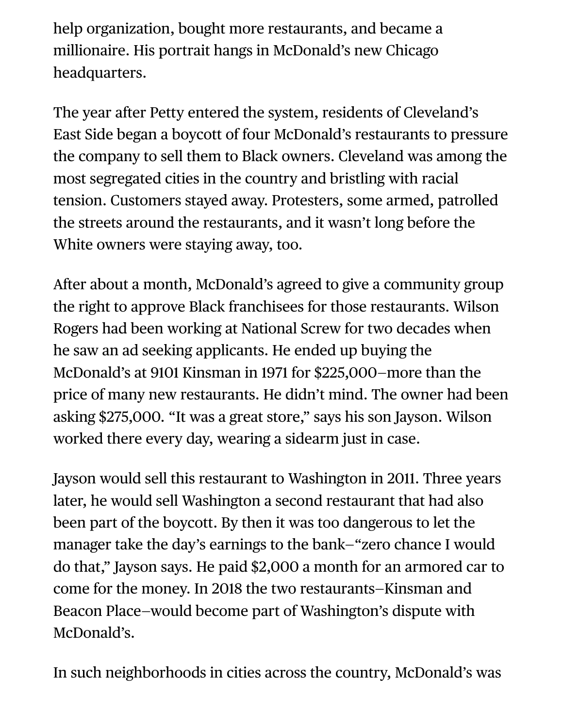help organization, bought more restaurants, and became a millionaire. His portrait hangs in McDonald's new Chicago headquarters.

The year after Petty entered the system, residents of Cleveland's East Side began a boycott of four McDonald's restaurants to pressure the company to sell them to Black owners. Cleveland was among the most segregated cities in the country and bristling with racial tension. Customers stayed away. Protesters, some armed, patrolled the streets around the restaurants, and it wasn't long before the White owners were staying away, too.

After about a month, McDonald's agreed to give a community group the right to approve Black franchisees for those restaurants. Wilson Rogers had been working at National Screw for two decades when he saw an ad seeking applicants. He ended up buying the McDonald's at 9101 Kinsman in 1971 for \$225,000—more than the price of many new restaurants. He didn't mind. The owner had been asking \$275,000. "It was a great store," says his son Jayson. Wilson worked there every day, wearing a sidearm just in case.

Jayson would sell this restaurant to Washington in 2011. Three years later, he would sell Washington a second restaurant that had also been part of the boycott. By then it was too dangerous to let the manager take the day's earnings to the bank—"zero chance I would do that," Jayson says. He paid \$2,000 a month for an armored car to come for the money. In 2018 the two restaurants—Kinsman and Beacon Place—would become part of Washington's dispute with McDonald's.

In such neighborhoods in cities across the country, McDonald's was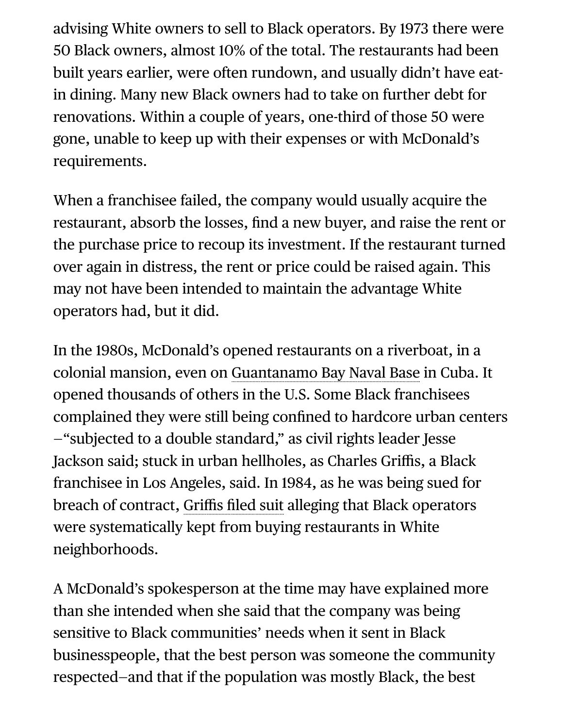advising White owners to sell to Black operators. By 1973 there were 50 Black owners, almost 10% of the total. The restaurants had been built years earlier, were often rundown, and usually didn't have eatin dining. Many new Black owners had to take on further debt for renovations. Within a couple of years, one-third of those 50 were gone, unable to keep up with their expenses or with McDonald's requirements.

When a franchisee failed, the company would usually acquire the restaurant, absorb the losses, find a new buyer, and raise the rent or the purchase price to recoup its investment. If the restaurant turned over again in distress, the rent or price could be raised again. This may not have been intended to maintain the advantage White operators had, but it did.

In the 1980s, McDonald's opened restaurants on a riverboat, in a colonial mansion, even on [Guantanamo Bay Naval Base](https://www.mashed.com/208879/strange-mcdonalds-locations-that-actually-exist/) in Cuba. It opened thousands of others in the U.S. Some Black franchisees complained they were still being confined to hardcore urban centers —"subjected to a double standard," as civil rights leader Jesse Jackson said; stuck in urban hellholes, as Charles Griffis, a Black franchisee in Los Angeles, said. In 1984, as he was being sued for breach of contract, Griffis fi[led suit](https://www.nytimes.com/1984/03/12/business/mcdonald-s-is-battling-with-black-franchisee.html) alleging that Black operators were systematically kept from buying restaurants in White neighborhoods.

A McDonald's spokesperson at the time may have explained more than she intended when she said that the company was being sensitive to Black communities' needs when it sent in Black businesspeople, that the best person was someone the community respected—and that if the population was mostly Black, the best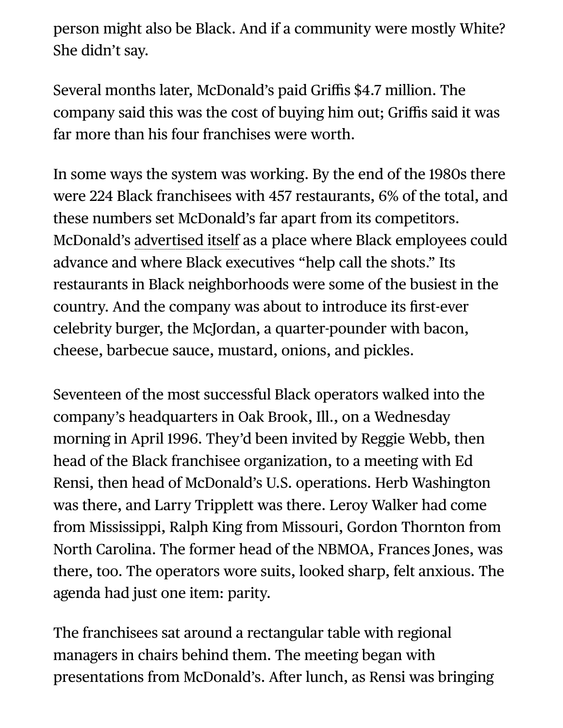person might also be Black. And if a community were mostly White? She didn't say.

Several months later, McDonald's paid Griffis \$4.7 million. The company said this was the cost of buying him out; Griffis said it was far more than his four franchises were worth.

In some ways the system was working. By the end of the 1980s there were 224 Black franchisees with 457 restaurants, 6% of the total, and these numbers set McDonald's far apart from its competitors. McDonald's [advertised itself](https://www.npr.org/sections/codeswitch/2014/04/18/304591220/the-golden-arch-of-the-universe-is-long) as a place where Black employees could advance and where Black executives "help call the shots." Its restaurants in Black neighborhoods were some of the busiest in the country. And the company was about to introduce its first-ever celebrity burger, the McJordan, a quarter-pounder with bacon, cheese, barbecue sauce, mustard, onions, and pickles.

Seventeen of the most successful Black operators walked into the company's headquarters in Oak Brook, Ill., on a Wednesday morning in April 1996. They'd been invited by Reggie Webb, then head of the Black franchisee organization, to a meeting with Ed Rensi, then head of McDonald's U.S. operations. Herb Washington was there, and Larry Tripplett was there. Leroy Walker had come from Mississippi, Ralph King from Missouri, Gordon Thornton from North Carolina. The former head of the NBMOA, Frances Jones, was there, too. The operators wore suits, looked sharp, felt anxious. The agenda had just one item: parity.

The franchisees sat around a rectangular table with regional managers in chairs behind them. The meeting began with presentations from McDonald's. After lunch, as Rensi was bringing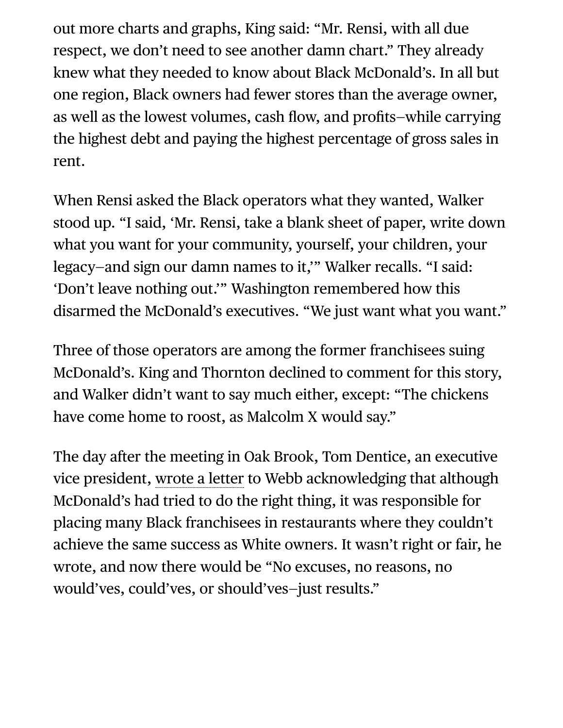out more charts and graphs, King said: "Mr. Rensi, with all due respect, we don't need to see another damn chart." They already knew what they needed to know about Black McDonald's. In all but one region, Black owners had fewer stores than the average owner, as well as the lowest volumes, cash flow, and profits—while carrying the highest debt and paying the highest percentage of gross sales in rent.

When Rensi asked the Black operators what they wanted, Walker stood up. "I said, 'Mr. Rensi, take a blank sheet of paper, write down what you want for your community, yourself, your children, your legacy—and sign our damn names to it,'" Walker recalls. "I said: 'Don't leave nothing out.'" Washington remembered how this disarmed the McDonald's executives. "We just want what you want."

Three of those operators are among the former franchisees suing McDonald's. King and Thornton declined to comment for this story, and Walker didn't want to say much either, except: "The chickens have come home to roost, as Malcolm X would say."

The day after the meeting in Oak Brook, Tom Dentice, an executive vice president, [wrote a letter](https://assets.bwbx.io/documents/users/iqjWHBFdfxIU/r7II3zWIlgug/v0) to Webb acknowledging that although McDonald's had tried to do the right thing, it was responsible for placing many Black franchisees in restaurants where they couldn't achieve the same success as White owners. It wasn't right or fair, he wrote, and now there would be "No excuses, no reasons, no would'ves, could'ves, or should'ves—just results."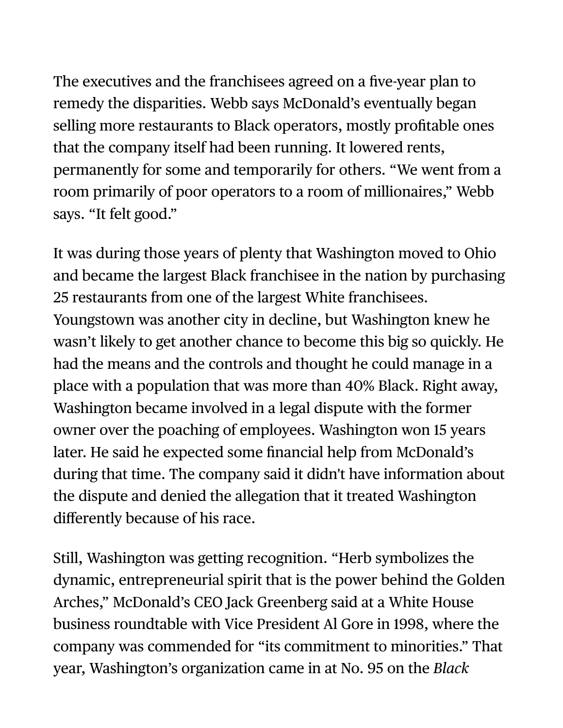The executives and the franchisees agreed on a five-year plan to remedy the disparities. Webb says McDonald's eventually began selling more restaurants to Black operators, mostly profitable ones that the company itself had been running. It lowered rents, permanently for some and temporarily for others. "We went from a room primarily of poor operators to a room of millionaires," Webb says. "It felt good."

It was during those years of plenty that Washington moved to Ohio and became the largest Black franchisee in the nation by purchasing 25 restaurants from one of the largest White franchisees. Youngstown was another city in decline, but Washington knew he wasn't likely to get another chance to become this big so quickly. He had the means and the controls and thought he could manage in a place with a population that was more than 40% Black. Right away, Washington became involved in a legal dispute with the former owner over the poaching of employees. Washington won 15 years later. He said he expected some financial help from McDonald's during that time. The company said it didn't have information about the dispute and denied the allegation that it treated Washington differently because of his race.

Still, Washington was getting recognition. "Herb symbolizes the dynamic, entrepreneurial spirit that is the power behind the Golden Arches," McDonald's CEO Jack Greenberg said at a White House business roundtable with Vice President Al Gore in 1998, where the company was commended for "its commitment to minorities." That year, Washington's organization came in at No. 95 on the *Black*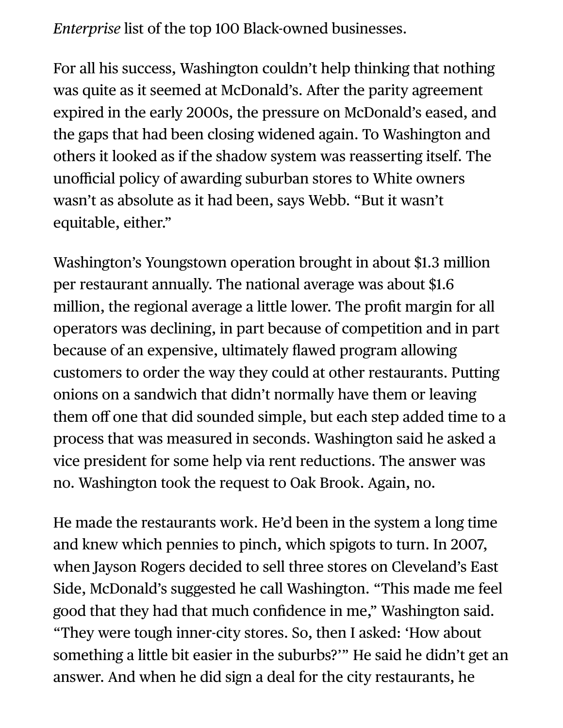*Enterprise* list of the top 100 Black-owned businesses.

For all his success, Washington couldn't help thinking that nothing was quite as it seemed at McDonald's. After the parity agreement expired in the early 2000s, the pressure on McDonald's eased, and the gaps that had been closing widened again. To Washington and others it looked as if the shadow system was reasserting itself. The unofficial policy of awarding suburban stores to White owners wasn't as absolute as it had been, says Webb. "But it wasn't equitable, either."

Washington's Youngstown operation brought in about \$1.3 million per restaurant annually. The national average was about \$1.6 million, the regional average a little lower. The profit margin for all operators was declining, in part because of competition and in part because of an expensive, ultimately flawed program allowing customers to order the way they could at other restaurants. Putting onions on a sandwich that didn't normally have them or leaving them off one that did sounded simple, but each step added time to a process that was measured in seconds. Washington said he asked a vice president for some help via rent reductions. The answer was no. Washington took the request to Oak Brook. Again, no.

He made the restaurants work. He'd been in the system a long time and knew which pennies to pinch, which spigots to turn. In 2007, when Jayson Rogers decided to sell three stores on Cleveland's East Side, McDonald's suggested he call Washington. "This made me feel good that they had that much confidence in me," Washington said. "They were tough inner-city stores. So, then I asked: 'How about something a little bit easier in the suburbs?'" He said he didn't get an answer. And when he did sign a deal for the city restaurants, he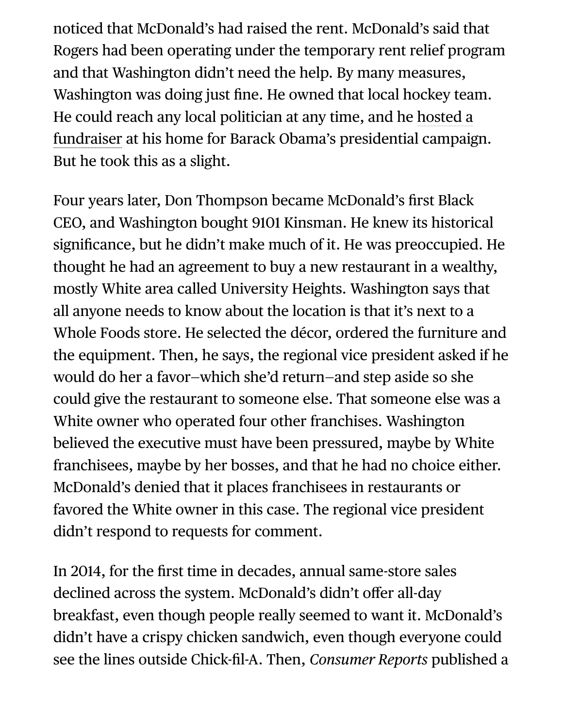noticed that McDonald's had raised the rent. McDonald's said that Rogers had been operating under the temporary rent relief program and that Washington didn't need the help. By many measures, Washington was doing just fine. He owned that local hockey team. He could reach any local politician at any time, and he hosted a [fundraiser at his home for Barack Obama's presidential campaig](https://vindyarchives.com/news/2007/jun/20/up-to-2300-for-75-minutes-and-a-muffin/)n. But he took this as a slight.

Four years later, Don Thompson became McDonald's first Black CEO, and Washington bought 9101 Kinsman. He knew its historical significance, but he didn't make much of it. He was preoccupied. He thought he had an agreement to buy a new restaurant in a wealthy, mostly White area called University Heights. Washington says that all anyone needs to know about the location is that it's next to a Whole Foods store. He selected the décor, ordered the furniture and the equipment. Then, he says, the regional vice president asked if he would do her a favor—which she'd return—and step aside so she could give the restaurant to someone else. That someone else was a White owner who operated four other franchises. Washington believed the executive must have been pressured, maybe by White franchisees, maybe by her bosses, and that he had no choice either. McDonald's denied that it places franchisees in restaurants or favored the White owner in this case. The regional vice president didn't respond to requests for comment.

In 2014, for the first time in decades, annual same-store sales declined across the system. McDonald's didn't offer all-day breakfast, even though people really seemed to want it. McDonald's didn't have a crispy chicken sandwich, even though everyone could see the lines outside Chick-fil-A. Then, *Consumer Reports* published a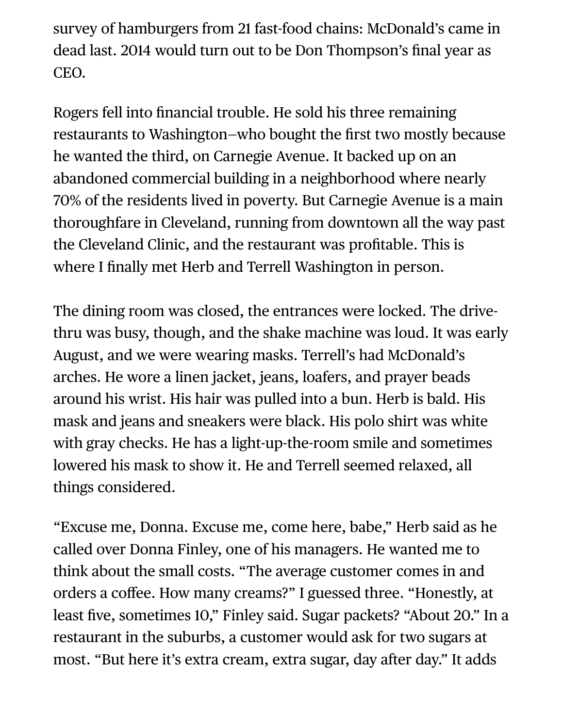survey of hamburgers from 21 fast-food chains: McDonald's came in dead last. 2014 would turn out to be Don Thompson's final year as CEO.

Rogers fell into financial trouble. He sold his three remaining restaurants to Washington—who bought the first two mostly because he wanted the third, on Carnegie Avenue. It backed up on an abandoned commercial building in a neighborhood where nearly 70% of the residents lived in poverty. But Carnegie Avenue is a main thoroughfare in Cleveland, running from downtown all the way past the Cleveland Clinic, and the restaurant was profitable. This is where I finally met Herb and Terrell Washington in person.

The dining room was closed, the entrances were locked. The drivethru was busy, though, and the shake machine was loud. It was early August, and we were wearing masks. Terrell's had McDonald's arches. He wore a linen jacket, jeans, loafers, and prayer beads around his wrist. His hair was pulled into a bun. Herb is bald. His mask and jeans and sneakers were black. His polo shirt was white with gray checks. He has a light-up-the-room smile and sometimes lowered his mask to show it. He and Terrell seemed relaxed, all things considered.

"Excuse me, Donna. Excuse me, come here, babe," Herb said as he called over Donna Finley, one of his managers. He wanted me to think about the small costs. "The average customer comes in and orders a coffee. How many creams?" I guessed three. "Honestly, at least five, sometimes 10," Finley said. Sugar packets? "About 20." In a restaurant in the suburbs, a customer would ask for two sugars at most. "But here it's extra cream, extra sugar, day after day." It adds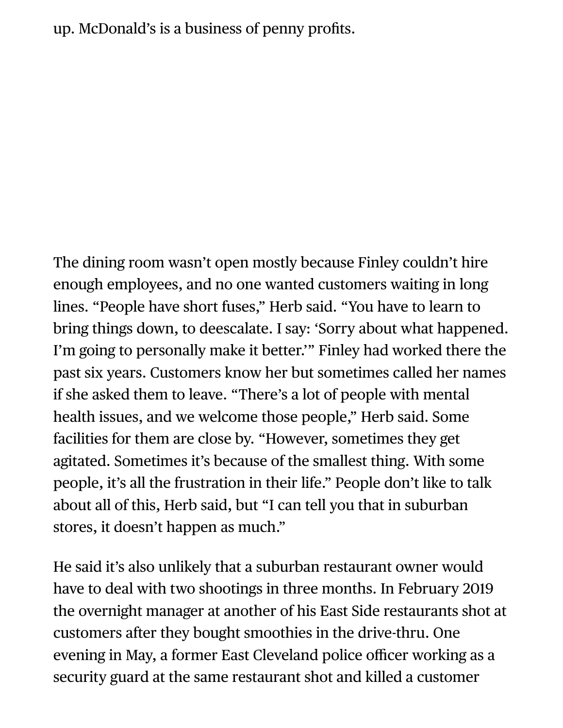up. McDonald's is a business of penny profits.

The dining room wasn't open mostly because Finley couldn't hire enough employees, and no one wanted customers waiting in long lines. "People have short fuses," Herb said. "You have to learn to bring things down, to deescalate. I say: 'Sorry about what happened. I'm going to personally make it better.'" Finley had worked there the past six years. Customers know her but sometimes called her names if she asked them to leave. "There's a lot of people with mental health issues, and we welcome those people," Herb said. Some facilities for them are close by. "However, sometimes they get agitated. Sometimes it's because of the smallest thing. With some people, it's all the frustration in their life." People don't like to talk about all of this, Herb said, but "I can tell you that in suburban stores, it doesn't happen as much."

He said it's also unlikely that a suburban restaurant owner would have to deal with two shootings in three months. In February 2019 the overnight manager at another of his East Side restaurants shot at customers after they bought smoothies in the drive-thru. One evening in May, a former East Cleveland police officer working as a security guard at the same restaurant shot and killed a customer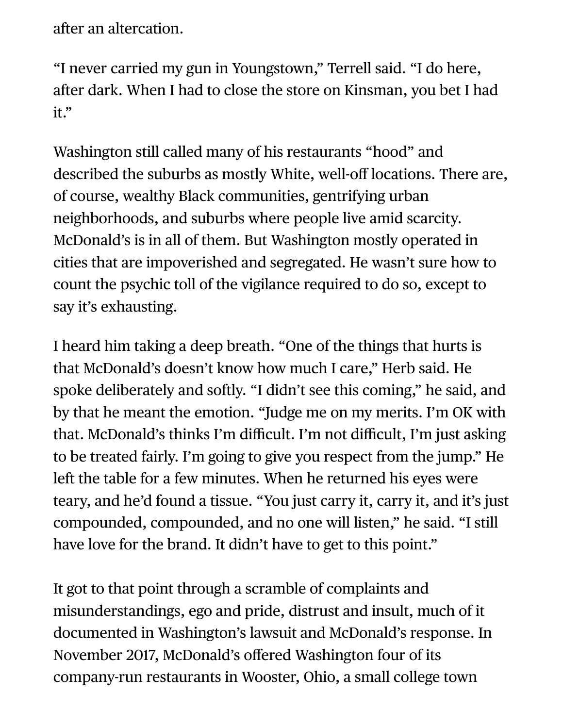after an altercation.

"I never carried my gun in Youngstown," Terrell said. "I do here, after dark. When I had to close the store on Kinsman, you bet I had it."

Washington still called many of his restaurants "hood" and described the suburbs as mostly White, well-off locations. There are, of course, wealthy Black communities, gentrifying urban neighborhoods, and suburbs where people live amid scarcity. McDonald's is in all of them. But Washington mostly operated in cities that are impoverished and segregated. He wasn't sure how to count the psychic toll of the vigilance required to do so, except to say it's exhausting.

I heard him taking a deep breath. "One of the things that hurts is that McDonald's doesn't know how much I care," Herb said. He spoke deliberately and softly. "I didn't see this coming," he said, and by that he meant the emotion. "Judge me on my merits. I'm OK with that. McDonald's thinks I'm difficult. I'm not difficult, I'm just asking to be treated fairly. I'm going to give you respect from the jump." He left the table for a few minutes. When he returned his eyes were teary, and he'd found a tissue. "You just carry it, carry it, and it's just compounded, compounded, and no one will listen," he said. "I still have love for the brand. It didn't have to get to this point."

It got to that point through a scramble of complaints and misunderstandings, ego and pride, distrust and insult, much of it documented in Washington's lawsuit and McDonald's response. In November 2017, McDonald's offered Washington four of its company-run restaurants in Wooster, Ohio, a small college town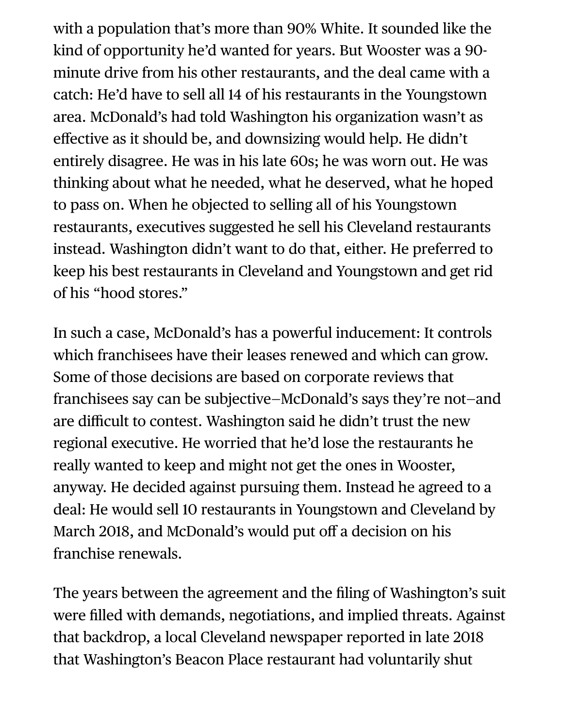with a population that's more than 90% White. It sounded like the kind of opportunity he'd wanted for years. But Wooster was a 90 minute drive from his other restaurants, and the deal came with a catch: He'd have to sell all 14 of his restaurants in the Youngstown area. McDonald's had told Washington his organization wasn't as effective as it should be, and downsizing would help. He didn't entirely disagree. He was in his late 60s; he was worn out. He was thinking about what he needed, what he deserved, what he hoped to pass on. When he objected to selling all of his Youngstown restaurants, executives suggested he sell his Cleveland restaurants instead. Washington didn't want to do that, either. He preferred to keep his best restaurants in Cleveland and Youngstown and get rid of his "hood stores."

In such a case, McDonald's has a powerful inducement: It controls which franchisees have their leases renewed and which can grow. Some of those decisions are based on corporate reviews that franchisees say can be subjective—McDonald's says they're not—and are difficult to contest. Washington said he didn't trust the new regional executive. He worried that he'd lose the restaurants he really wanted to keep and might not get the ones in Wooster, anyway. He decided against pursuing them. Instead he agreed to a deal: He would sell 10 restaurants in Youngstown and Cleveland by March 2018, and McDonald's would put off a decision on his franchise renewals.

The years between the agreement and the filing of Washington's suit were filled with demands, negotiations, and implied threats. Against that backdrop, a local Cleveland newspaper reported in late 2018 that Washington's Beacon Place restaurant had voluntarily shut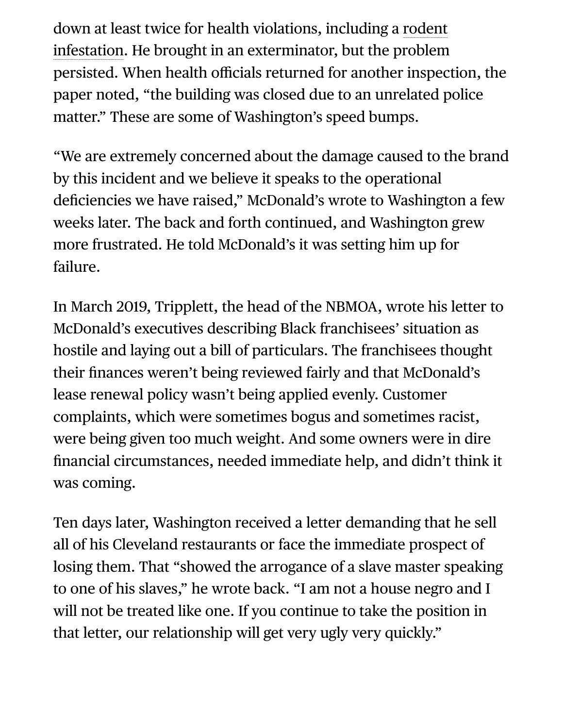[down at least twice for health violations, including a rodent](https://www.cleveland19.com/2018/12/15/cleveland-mcdonalds-plagued-with-health-violations/) infestation. He brought in an exterminator, but the problem persisted. When health officials returned for another inspection, the paper noted, "the building was closed due to an unrelated police matter." These are some of Washington's speed bumps.

"We are extremely concerned about the damage caused to the brand by this incident and we believe it speaks to the operational deficiencies we have raised," McDonald's wrote to Washington a few weeks later. The back and forth continued, and Washington grew more frustrated. He told McDonald's it was setting him up for failure.

In March 2019, Tripplett, the head of the NBMOA, wrote his letter to McDonald's executives describing Black franchisees' situation as hostile and laying out a bill of particulars. The franchisees thought their finances weren't being reviewed fairly and that McDonald's lease renewal policy wasn't being applied evenly. Customer complaints, which were sometimes bogus and sometimes racist, were being given too much weight. And some owners were in dire financial circumstances, needed immediate help, and didn't think it was coming.

Ten days later, Washington received a letter demanding that he sell all of his Cleveland restaurants or face the immediate prospect of losing them. That "showed the arrogance of a slave master speaking to one of his slaves," he wrote back. "I am not a house negro and I will not be treated like one. If you continue to take the position in that letter, our relationship will get very ugly very quickly."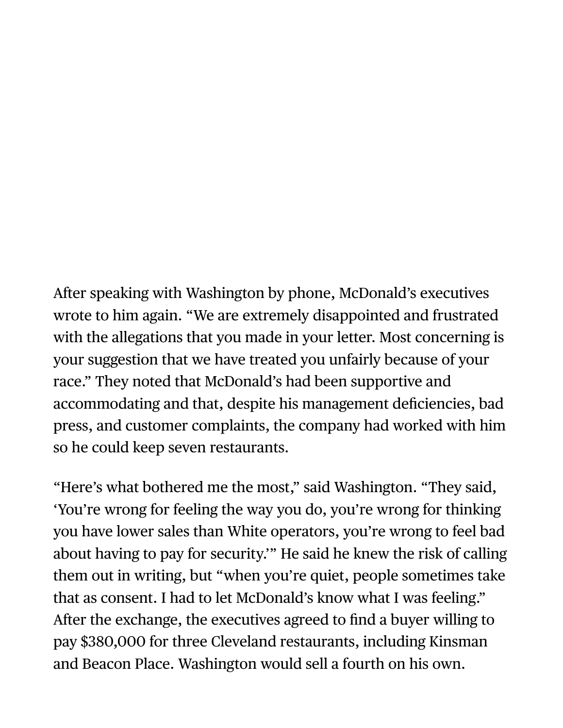After speaking with Washington by phone, McDonald's executives wrote to him again. "We are extremely disappointed and frustrated with the allegations that you made in your letter. Most concerning is your suggestion that we have treated you unfairly because of your race." They noted that McDonald's had been supportive and accommodating and that, despite his management deficiencies, bad press, and customer complaints, the company had worked with him so he could keep seven restaurants.

"Here's what bothered me the most," said Washington. "They said, 'You're wrong for feeling the way you do, you're wrong for thinking you have lower sales than White operators, you're wrong to feel bad about having to pay for security.'" He said he knew the risk of calling them out in writing, but "when you're quiet, people sometimes take that as consent. I had to let McDonald's know what I was feeling." After the exchange, the executives agreed to find a buyer willing to pay \$380,000 for three Cleveland restaurants, including Kinsman and Beacon Place. Washington would sell a fourth on his own.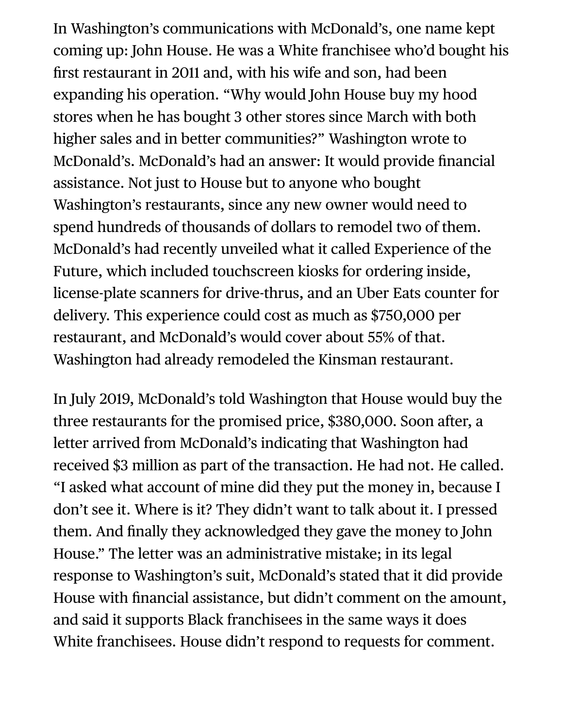In Washington's communications with McDonald's, one name kept coming up: John House. He was a White franchisee who'd bought his first restaurant in 2011 and, with his wife and son, had been expanding his operation. "Why would John House buy my hood stores when he has bought 3 other stores since March with both higher sales and in better communities?" Washington wrote to McDonald's. McDonald's had an answer: It would provide financial assistance. Not just to House but to anyone who bought Washington's restaurants, since any new owner would need to spend hundreds of thousands of dollars to remodel two of them. McDonald's had recently unveiled what it called Experience of the Future, which included touchscreen kiosks for ordering inside, license-plate scanners for drive-thrus, and an Uber Eats counter for delivery. This experience could cost as much as \$750,000 per restaurant, and McDonald's would cover about 55% of that. Washington had already remodeled the Kinsman restaurant.

In July 2019, McDonald's told Washington that House would buy the three restaurants for the promised price, \$380,000. Soon after, a letter arrived from McDonald's indicating that Washington had received \$3 million as part of the transaction. He had not. He called. "I asked what account of mine did they put the money in, because I don't see it. Where is it? They didn't want to talk about it. I pressed them. And finally they acknowledged they gave the money to John House." The letter was an administrative mistake; in its legal response to Washington's suit, McDonald's stated that it did provide House with financial assistance, but didn't comment on the amount, and said it supports Black franchisees in the same ways it does White franchisees. House didn't respond to requests for comment.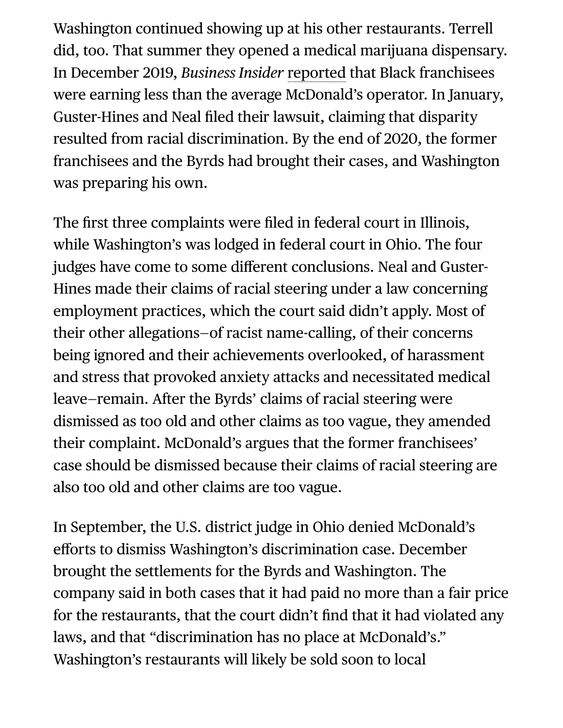Washington continued showing up at his other restaurants. Terrell did, too. That summer they opened a medical marijuana dispensary. In December 2019, *Business Insider* [reported](https://www.businessinsider.com/mcdonalds-black-franchisees-earn-less-than-white-counterparts-2019-11) that Black franchisees were earning less than the average McDonald's operator. In January, Guster-Hines and Neal filed their lawsuit, claiming that disparity resulted from racial discrimination. By the end of 2020, the former franchisees and the Byrds had brought their cases, and Washington was preparing his own.

The first three complaints were filed in federal court in Illinois, while Washington's was lodged in federal court in Ohio. The four judges have come to some different conclusions. Neal and Guster-Hines made their claims of racial steering under a law concerning employment practices, which the court said didn't apply. Most of their other allegations—of racist name-calling, of their concerns being ignored and their achievements overlooked, of harassment and stress that provoked anxiety attacks and necessitated medical leave—remain. After the Byrds' claims of racial steering were dismissed as too old and other claims as too vague, they amended their complaint. McDonald's argues that the former franchisees' case should be dismissed because their claims of racial steering are also too old and other claims are too vague.

In September, the U.S. district judge in Ohio denied McDonald's efforts to dismiss Washington's discrimination case. December brought the settlements for the Byrds and Washington. The company said in both cases that it had paid no more than a fair price for the restaurants, that the court didn't find that it had violated any laws, and that "discrimination has no place at McDonald's." Washington's restaurants will likely be sold soon to local